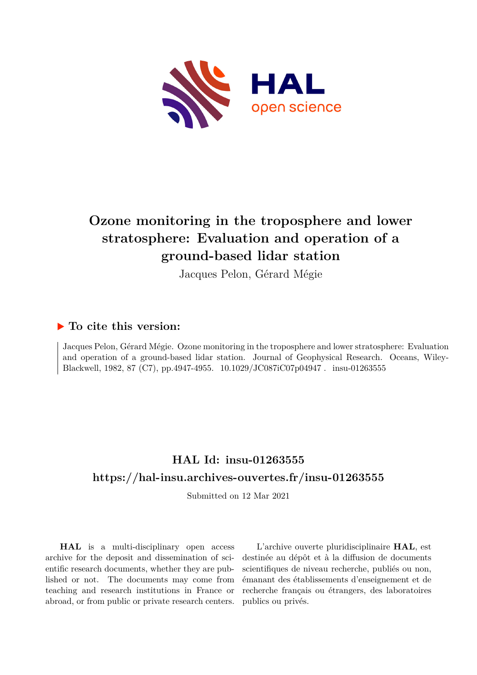

# **Ozone monitoring in the troposphere and lower stratosphere: Evaluation and operation of a ground-based lidar station**

Jacques Pelon, Gérard Mégie

## **To cite this version:**

Jacques Pelon, Gérard Mégie. Ozone monitoring in the troposphere and lower stratosphere: Evaluation and operation of a ground-based lidar station. Journal of Geophysical Research. Oceans, Wiley-Blackwell, 1982, 87 (C7), pp.4947-4955. 10.1029/JC087iC07p04947. insu-01263555

## **HAL Id: insu-01263555 <https://hal-insu.archives-ouvertes.fr/insu-01263555>**

Submitted on 12 Mar 2021

**HAL** is a multi-disciplinary open access archive for the deposit and dissemination of scientific research documents, whether they are published or not. The documents may come from teaching and research institutions in France or abroad, or from public or private research centers.

L'archive ouverte pluridisciplinaire **HAL**, est destinée au dépôt et à la diffusion de documents scientifiques de niveau recherche, publiés ou non, émanant des établissements d'enseignement et de recherche français ou étrangers, des laboratoires publics ou privés.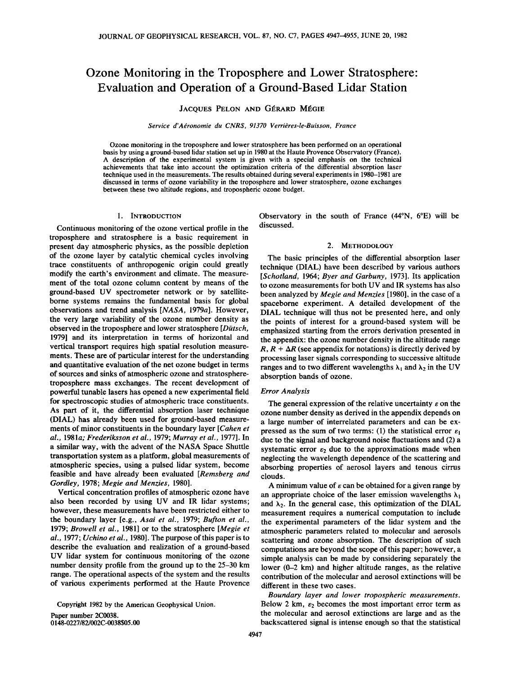## **Ozone Monitoring in the Troposphere and Lower Stratosphere' Evaluation and Operation of a Ground-Based Lidar Station**

**JACQUES PELON AND GÉRARD MÉGIE** 

Service d'Aéronomie du CNRS, 91370 Verrières-le-Buisson, France

**Ozone monitoring in the troposphere and lower stratosphere has been performed on an operational basis by using a ground-based lidar station set up in 1980 at the Haute Provence Observatory (France). A description of the experimental system is given with a special emphasis on the technical achievements that take into account the optimization criteria of the differential absorption laser technique used in the measurements. The results obtained during several experiments in 1980-1981 are discussed in terms of ozone variability in the troposphere and lower stratosphere, ozone exchanges between these two altitude regions, and tropospheric ozone budget.** 

#### **1. INTRODUCTION**

**Continuous monitoring of the ozone vertical profile in the troposphere and stratosphere is a basic requirement in present day atmospheric physics, as the possible depletion of the ozone layer by catalytic chemical cycles involving trace constituents of anthropogenic origin could greatly modify the earth's environment and climate. The measurement of the total ozone column content by means of the ground-based UV spectrometer network or by satelliteborne systems remains the fundamental basis for global observations and trend analysis [NASA, 1979a]. However, the very large variability of the ozone number density as observed in the troposphere and lower stratosphere [Diitsch, 1979] and its interpretation in terms of horizontal and vertical transport requires high spatial resolution measurements. These are of particular interest for the understanding and quantitative evaluation of the net ozone budget in terms of sources and sinks of atmospheric ozone and stratospheretroposphere mass exchanges. The recent development of powerful tunable lasers has opened a new experimental field for spectroscopic studies of atmospheric trace constituents. As part of it, the differential absorption laser technique (DIAL) has already been used for ground-based measurements of minor constituents in the boundary layer [Cahen et al., !981a; Frederiksson et al., 1979; Murray et al., 1977]. In a similar way, with the advent of the NASA Space Shuttle transportation system as a platform, global measurements of atmospheric species, using a pulsed lidar system, become feasible and have already been evaluated [Remsberg and Gordley, 1978; Megie and Menzies, 1980].** 

**Vertical concentration profiles of atmospheric ozone have also been recorded by using UV and IR lidar systems; however, these measurements have been restricted either to the boundary layer [e.g., Asai et al., 1979; Bufton et al., 1979; Browell et al., 1981] or to the stratosphere [Megie et al., 1977; Uchino et al., 1980]. The purpose of this paper is to describe the evaluation and realization of a ground-based UV lidar system for continuous monitoring of the ozone number density profile from the ground up to the 25-30 km range. The operational aspects of the system and the results of various experiments performed at the Haute Provence** 

**Copyright 1982 by the American Geophysical Union.** 

**Paper number 2C0038. 0148-0227/82/002C-0038505.00**  **Observatory in the south of France (44øN, 6øE) will be discussed.** 

#### **2. METHODOLOGY**

**The basic principles of the differential absorption laser technique (DIAL) have been described by various authors [Schotland, 1964; Byer and Garbuny, 1973]. Its application to ozone measurements for both UV and IR systems has also been analyzed by Megie and Menzies [1980], in the case of a spaceborne experiment. A detailed development of the DIAL technique will thus not be presented here, and only the points of interest for a ground-based system will be**  emphasized starting from the errors derivation presented in **the appendix: the ozone number density in the altitude range**   $R$ ,  $R + \Delta R$  (see appendix for notations) is directly derived by **processing laser signals corresponding to successive altitude**  ranges and to two different wavelengths  $\lambda_1$  and  $\lambda_2$  in the UV **absorption bands of ozone.** 

#### **Error Analysis**

The general expression of the relative uncertainty  $\varepsilon$  on the **ozone number density as derived in the appendix depends on a large number of interrelated parameters and can be expressed as the sum of two terms:** (1) the statistical error  $\varepsilon_1$ **due to the signal and background noise fluctuations and (2) a**  systematic error  $\varepsilon_2$  due to the approximations made when **neglecting the wavelength dependence of the scattering and absorbing properties of aerosol layers and tenous cirrus clouds.** 

A minimum value of  $\varepsilon$  can be obtained for a given range by an appropriate choice of the laser emission wavelengths  $\lambda_1$ and  $\lambda_2$ . In the general case, this optimization of the DIAL **measurement requires a numerical computation to include the experimental parameters of the lidar system and the atmospheric parameters related to molecular and aerosols scattering and ozone absorption. The description of such computations are beyond the scope of this paper; however, a simple analysis can be made by considering separately the lower (0-2 km) and higher altitude ranges, as the relative contribution of the molecular and aerosol extinctions will be different in these two cases.** 

**Boundary layer and lower tropospheric measurements.**  Below 2 km,  $\varepsilon_2$  becomes the most important error term as **the molecular and aerosol extinctions are large and as the backscattered signal is intense enough so that the statistical**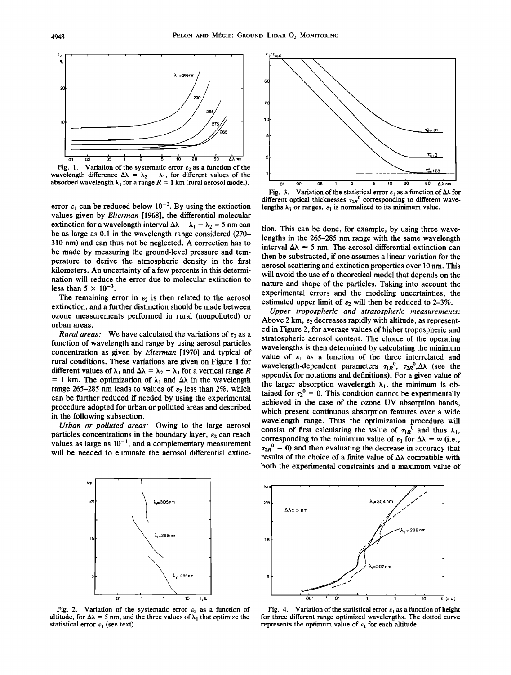

 $\frac{1}{2}$  **- h**  $\frac{1}{2}$  **-**  $\frac{1}{2}$  +  $\frac{1}{2}$  **-**  $\frac{1}{2}$  **-**  $\frac{1}{2}$  **-**  $\frac{1}{2}$  **-**  $\frac{1}{2}$  **-**  $\frac{1}{2}$  **-**  $\frac{1}{2}$  **-**  $\frac{1}{2}$  **-**  $\frac{1}{2}$  **-**  $\frac{1}{2}$  **-**  $\frac{1}{2}$  **-**  $\frac{1}{2}$  **-**  $\frac{1}{2}$  absorbed wavelength  $\lambda_1$  for a range  $R = 1$  km (rural aerosol model).  $\frac{1}{\alpha_1} \frac{1}{\alpha_2} \frac{1}{\alpha_3} \frac{1}{\alpha_4} \frac{1}{\alpha_5} \frac{1}{\alpha_6} \frac{1}{\alpha_7} \frac{1}{\alpha_8} \frac{1}{\alpha_9} \frac{1}{\alpha_9} \frac{1}{\alpha_9} \frac{1}{\alpha_9} \frac{1}{\alpha_9} \frac{1}{\alpha_9} \frac{1}{\alpha_$ 

error  $\varepsilon_1$  can be reduced below  $10^{-2}$ . By using the extinction **values given by Elterman [1968], the differential molecular**  extinction for a wavelength interval  $\Delta\lambda = \lambda_1 - \lambda_2 = 5$  nm can **be as large as 0.1 in the wavelength range considered (270- 310 nm) and can thus not be neglected. A correction has to be made by measuring the ground-level pressure and temperature to derive the atmospheric density in the first kilometers. An uncertainty of a few percents in this determination will reduce the error due to molecular extinction to**  less than  $5 \times 10^{-3}$ .

The remaining error in  $\varepsilon_2$  is then related to the aerosol **extinction, and a further distinction should be made between ozone measurements performed in rural (nonpolluted) or urban areas.** 

**Rural areas:** We have calculated the variations of  $\varepsilon_2$  as a **function of wavelength and range by using aerosol particles concentration as given by Elterman [1970] and typical of rural conditions. These variations are given on Figure 1 for**  different values of  $\lambda_1$  and  $\Delta\lambda = \lambda_2 - \lambda_1$  for a vertical range R  $= 1$  km. The optimization of  $\lambda_1$  and  $\Delta\lambda$  in the wavelength range 265-285 nm leads to values of  $\varepsilon_2$  less than 2%, which **can be further reduced if needed by using the experimental procedure adopted for urban or polluted areas and described in the following subsection.** 

**Urban or polluted areas: Owing to the large aerosol**  particles concentrations in the boundary layer,  $\varepsilon_2$  can reach values as large as  $10^{-1}$ , and a complementary measurement **will be needed to eliminate the aerosol differential extinc-**



**Fig. 3.** Variation of the statistical error  $\varepsilon_1$  as a function of  $\Delta\lambda$  for different optical thicknesses  $\tau_{1R}$ <sup>0</sup> corresponding to different wavelengths  $\lambda_1$  or ranges.  $\varepsilon_1$  is normalized to its minimum value.

**tion. This can be done, for example, by using three wavelengths in the 265-285 nm range with the same wavelength**  interval  $\Delta\lambda \approx 5$  nm. The aerosol differential extinction can **then be substracted, if one assumes a linear variation for the aerosol scattering and extinction properties over 10 nm. This will avoid the use of a theoretical model that depends on the nature and shape of the particles. Taking into account the experimental errors and the modeling uncertainties, the**  estimated upper limit of  $\varepsilon_2$  will then be reduced to 2-3%.

**Upper tropospheric and stratospheric measurements:**  Above 2 km,  $\varepsilon_2$  decreases rapidly with altitude, as represent**ed in Figure 2, for average values of higher tropospheric and stratospheric aerosol content. The choice of the operating wavelengths is then determined by calculating the minimum**  value of  $\varepsilon_1$  as a function of the three interrelated and wavelength-dependent parameters  $\tau_{1R}^{0}$ ,  $\tau_{2R}^{0}$ ,  $\Delta\lambda$  (see the **appendix for notations and definitions). For a given value of**  the larger absorption wavelength  $\lambda_1$ , the minimum is obtained for  $\tau_2^0 = 0$ . This condition cannot be experimentally **achieved in the case of the ozone UV absorption bands, which present continuous absorption features over a wide wavelength range. Thus the optimization procedure will**  consist of first calculating the value of  $\tau_{1R}^0$  and thus  $\lambda_1$ , corresponding to the minimum value of  $\varepsilon_1$  for  $\Delta\lambda = \infty$  (i.e.,  $\tau_{2R}$ <sup>0</sup> = 0) and then evaluating the decrease in accuracy that results of the choice of a finite value of  $\Delta\lambda$  compatible with **both the experimental constraints and a maximum value of** 



Fig. 2. Variation of the systematic error  $\varepsilon_2$  as a function of **altitude, for**  $\Delta\lambda = 5$  **nm, and the three values of**  $\lambda_1$  **that optimize the** statistical error  $\varepsilon_1$  (see text).



**Fig. 4.** Variation of the statistical error  $\varepsilon_1$  as a function of height **for three different range optimized wavelengths. The dotted curve**  represents the optimum value of  $\varepsilon_1$  for each altitude.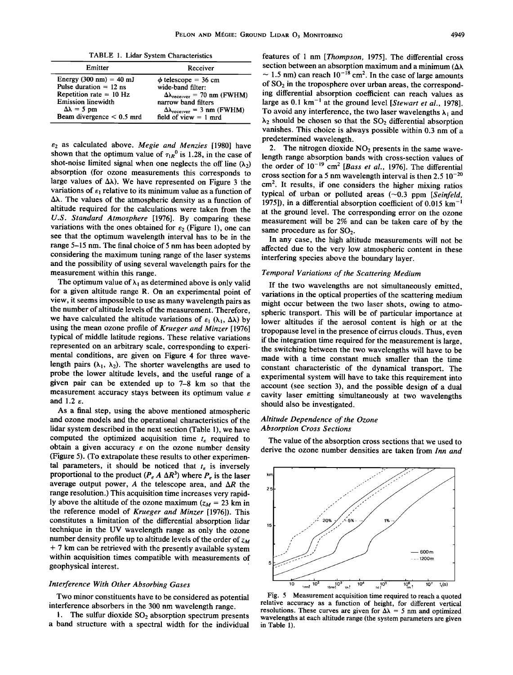**TABLE 1. Lidar System Characteristics** 

| Emitter                                   | Receiver                                                 |
|-------------------------------------------|----------------------------------------------------------|
| Energy $(300 \text{ nm}) = 40 \text{ mJ}$ | $\phi$ telescope = 36 cm                                 |
| Pulse duration $= 12$ ns                  | wide-band filter:                                        |
| Repetition rate $= 10$ Hz                 | $\Delta\lambda_{\text{receiver}} = 70 \text{ nm}$ (FWHM) |
| <b>Emission linewidth</b>                 | narrow band filters                                      |
| $\Delta\lambda = 5$ pm                    | $\Delta\lambda_{\text{receiver}} = 3 \text{ nm}$ (FWHM)  |
| Beam divergence $< 0.5$ mrd               | field of view $= 1$ mrd                                  |

**s2 as calculated above. Megie and Menzies [1980] have**  shown that the optimum value of  $\tau_{1R}^0$  is 1.28, in the case of shot-noise limited signal when one neglects the off line  $(\lambda_2)$ **absorption (for ozone measurements this corresponds to**  large values of  $\Delta\lambda$ ). We have represented on Figure 3 the variations of  $\varepsilon_1$  relative to its minimum value as a function of **Ah. The values of the atmospheric density as a function of altitude required for the calculations were taken from the U.S. Standard Atmosphere [1976]. By comparing these**  variations with the ones obtained for  $\varepsilon_2$  (Figure 1), one can **see that the optimum wavelength interval has to be in the range 5-15 nm. The final choice of 5 nm has been adopted by considering the maximum tuning range of the laser systems and the possibility of using several wavelength pairs for the measurement within this range.** 

The optimum value of  $\lambda_1$  as determined above is only valid **for a given altitude range R. On an experimental point of view, it seems impossible to use as many wavelength pairs as the number of altitude levels of the measurement. Therefore,**  we have calculated the altitude variations of  $\varepsilon_1$  ( $\lambda_1$ ,  $\Delta\lambda$ ) by **using the mean ozone profile of Krueger and Minzer [1976] typical of middle latitude regions. These relative variations represented on an arbitrary scale, corresponding to experimental conditions, are given on Figure 4 for three wave**length pairs  $(\lambda_1, \lambda_2)$ . The shorter wavelengths are used to **probe the lower altitude levels, and the useful range of a given pair can be extended up to 7-8 km so that the measurement accuracy stays between its optimum value e and 1.2 s.** 

**As a final step, using the above mentioned atmospheric and ozone models and the operational characteristics of the lidar system described in the next section (Table 1), we have**  computed the optimized acquisition time  $t<sub>\varepsilon</sub>$  required to **obtain a given accuracy e on the ozone number density (Figure 5). (To extrapolate these results to other experimen**tal parameters, it should be noticed that  $t_{\varepsilon}$  is inversely **proportional to the product (** $P_e A \Delta R^3$ **)** where  $P_e$  is the laser average output power,  $A$  the telescope area, and  $\Delta R$  the **range resolution.) This acquisition time increases very rapid**ly above the altitude of the ozone maximum  $(z_M = 23 \text{ km in})$ **the reference model of Krueger and Minzer [1976]). This constitutes a limitation of the differential absorption lidar technique in the UV wavelength range as only the ozone number density profile up to altitude levels of the order of**  $z_M$ **+ 7 km can be retrieved with the presently available system within acquisition times compatible with measurements of geophysical interest.** 

#### **Interference With Other Absorbing Gases**

**Two minor constituents have to be Considered as potential interference absorbers in the 300 nm wavelength range.** 

1. The sulfur dioxide SO<sub>2</sub> absorption spectrum presents **a band structure with a spectral width for the individual**  **features of 1 nm [Thompson, 1975]. The differential cross section between an absorption maximum and a minimum**   $\sim$  1.5 nm) can reach  $10^{-18}$  cm<sup>2</sup>. In the case of large amounts **of SO2 in the troposphere over urban areas, the corresponding differential absorption coefficient can reach values as**  large as 0.1 km<sup>-1</sup> at the ground level [Stewart et al., 1978]. To avoid any interference, the two laser wavelengths  $\lambda_1$  and  $\lambda_2$  should be chosen so that the  $SO_2$  differential absorption **vanishes. This choice is always possible within 0.3 nm of a predetermined wavelength.** 

2. The nitrogen dioxide NO<sub>2</sub> presents in the same wave**length range absorption bands with cross-section values of**  the order of  $10^{-19}$  cm<sup>2</sup> [Bass et al., 1976]. The differential cross section for a 5 nm wavelength interval is then 2.5  $10^{-20}$ cm<sup>2</sup>. It results, if one considers the higher mixing ratios typical of urban or polluted areas (~0.3 ppm [Seinfeld, 1975]), in a differential absorption coefficient of 0.015 km<sup>-1</sup> **at the ground level. The corresponding error on the ozone measurement will be 2% and can be taken care of by the**  same procedure as for SO<sub>2</sub>.

**In any case, the high altitude measurements will not be affected due to the very low atmospheric content in these interfering species above the boundary layer.** 

#### **Temporal Variations of the Scattering Medium**

**If the two wavelengths are not simultaneously emitted, variations in the optical properties of the scattering medium might occur between the two laser shots, owing to atmospheric transport. This will be of particular importance at lower altitudes if the aerosol content is high or at the tropopause level in the presence of cirrus clouds. Thus, even if the integration time required for the measurement islarge, the switching between the two wavelengths will have to be made with a time constant much smaller than the time constant characteristic of the dynamical transport. The experimental system will have to take this requirement into account (see section 3), and the possible design of a dual cavity laser emitting simultaneously at two wavelengths**  should also be investigated.

#### **Altitude Dependence of the Ozone Absorption Cross Sections**

**The value of the absorption cross sections that we used to derive the ozone number densities are taken from Inn and** 



**Fig. 5 Measurement acquisition time required to reach a quoted relative accuracy as a function of height, for different vertical**  resolutions. These curves are given for  $\Delta\lambda = 5$  nm and optimized **wavelengths at each altitude range (the system parameters are given in Table 1).**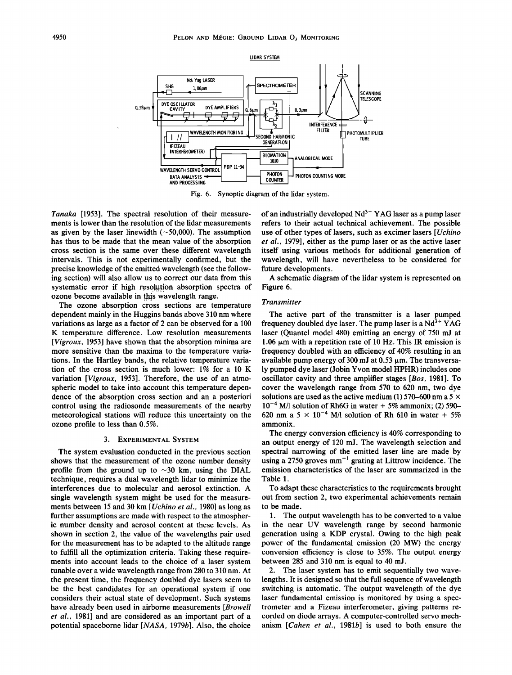

**Fig. 6. Synoptic diagram of the lidar system.** 

**Tanaka [1953]. The spectral resolution of their measurements is lower than the resolution of the lidar measurements**  as given by the laser linewidth  $(-50,000)$ . The assumption **has thus to be made that the mean value of the absorption cross section is the same over these different wavelength intervals. This is not experimentally confirmed, but the precise knowledge of the emitted wavelength (see the following section) will also allow us to correct our data from this**  systematic error if high resolution absorption spectra of ozone become available in this wavelength range.

The ozone absorption cross sections are temperature **dependent mainly in the Huggins bands above 310 nm where variations as large as a factor of 2 can be observed for a 100 K temperature difference. Low resolution measurements [Vigroux, 1953] have shown that the absorption minima are more sensitive than the maxima to the temperature variations. In the Hartley bands, the relative temperature variation of the cross section is much lower: 1% for a 10 K variation [Vigroux, 1953]. Therefore, the use of an atmospheric model to take into account this temperature dependence of the absorption cross section and an a posteriori control using the radiosonde measurements of the nearby meteorological stations will reduce this uncertainty on the ozone profile to less than 0.5%.** 

#### **3. EXPERIMENTAL SYSTEM**

**The system evaluation conducted in the previous section shows that the measurement of the ozone number density**  profile from the ground up to  $\sim$ 30 km, using the DIAL **technique, requires a dual wavelength lidar to minimize the interferences due to molecular and aerosol extinction. A single wavelength system might be used for the measurements between 15 and 30 km [Uchino et al., 1980] as long as further assumptions are made with respect to the atmospheric number density and aerosol content at these levels. As shown in section 2, the value of the wavelengths pair used for the measurement has to be adapted to the altitude range to fulfill all the optimization criteria. Taking these requirements into account leads to the choice of a laser system tunable over a wide wavelength range from 280 to 310 nm. At the present time, the frequency doubled dye lasers seem to be the best candidates for an operational system if one considers their actual state of development. Such systems have already been used in airborne measurements [Browell et al., 1981] and are considered as an important part of a potential spaceborne lidar [NASA, 1979b]. Also, the choice**  of an industrially developed Nd<sup>3+</sup> YAG laser as a pump laser **refers to their actual technical achievement. The possible use of other types of lasers, such as excimer lasers [Uchino et al., 1979], either as the pump laser or as the active laser itself using various methods for additional generation of wavelength, will have nevertheless to be considered for future developments.** 

**A schematic diagram of the lidar system is represented on Figure 6.** 

#### **Transmitter**

**The active part of the transmitter is a laser pumped frequency doubled dye laser. The pump laser is a Nd<sup>3+</sup> YAG laser (Quantel model 480) emitting an energy of 750 mJ at 1.06 µm with a repetition rate of 10 Hz. This IR emission is frequency doubled with an efficiency of 40% resulting in an**  available pump energy of 300 mJ at 0.53  $\mu$ m. The transversa**ly pumped dye laser (Jobin Yvon model HPHR) includes one oscillator cavity and three amplifier stages [Bos, 1981]. To cover the wavelength range from 570 to 620 nm, two dye solutions are used as the active medium (1) 570-600 nm a 5 x**   $10^{-4}$  M/l solution of Rh6G in water  $+$  5% ammonix; (2) 590– 620 nm a  $5 \times 10^{-4}$  M/l solution of Rh 610 in water + 5% **ammonix.** 

**The energy conversion efficiency is 40% corresponding to an output energy of 120 mJ. The wavelength selection and spectral narrowing of the emitted laser line are made by**  using a 2750 groves mm<sup>-1</sup> grating at Littrow incidence. The **emission characteristics of the laser are summarized in the Table 1.** 

**To adapt these characteristics to the requirements brought out from section 2, two experimental achievements remain to be made.** 

**1. The output wavelength has to be converted to a value in the near UV wavelength range by second harmonic generation using a KDP crystal. Owing to the high peak power of the fundamental emission (20 MW) the energy conversion efficiency is close to 35%. The output energy between 285 and 310 nm is equal to 40 mJ.** 

**2. The laser system has to emit sequentially two wavelengths. It is designed so that the full sequence of wavelength switching is automatic. The output wavelength of the dye laser fundamental emission is monitored by using a spectrometer and a Fizeau interferometer, giving patterns recorded on diode arrays. A computer-controlled servo mechanism [Cahen et al., 1981b] is used to both ensure the**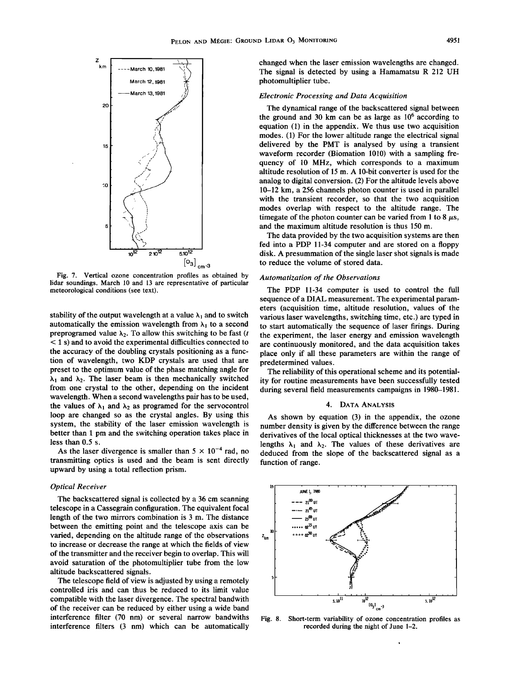

**Fig. 7. Vertical ozone concentration profiles as obtained by lidar soundings. March 10 and 13 are representative of particular meteorological conditions (see text).** 

stability of the output wavelength at a value  $\lambda_1$  and to switch automatically the emission wavelength from  $\lambda_1$  to a second **preprogramed value**  $\lambda_2$ **. To allow this switching to be fast (***t* **< 1 s) and to avoid the experimental difficulties connected to the accuracy of the doubling crystals positioning as a function of wavelength, two KDP crystals are used that are preset to the optimum value of the phase matching angle for**   $\lambda_1$  and  $\lambda_2$ . The laser beam is then mechanically switched **from one crystal to the other, depending on the incident wavelength. When a second wavelengths pair has to be used,**  the values of  $\lambda_1$  and  $\lambda_2$  as programed for the servocontrol **loop are changed so as the crystal angles. By using this system, the stability of the laser emission wavelength is better than 1 pm and the switching operation takes place in less than 0.5 s.** 

As the laser divergence is smaller than  $5 \times 10^{-4}$  rad, no **transmitting optics is used and the beam is sent directly upward by using a total reflection prism.** 

#### **Optical Receiver**

**The backscattered signal is collected by a 36 cm scanning telescope in a Cassegrain configuration. The equivalent focal length of the two mirrors combination is 3 m. The distance between the emitting point and the telescope axis can be varied, depending on the altitude range of the observations to increase or decrease the range at which the fields of view of the transmitter and the receiver begin to overlap. This will avoid saturation of the photomultiplier tube from the low altitude backscattered signals.** 

**The telescope field of view is adjusted by using a remotely controlled iris and can thus be reduced to its limit value compatible with the laser divergence. The spectral bandwith of the receiver can be reduced by either using a wide band interference filter (70 nm) or several narrow bandwiths interference filters (3 nm) which can be automatically** 

**changed when the laser emission wavelengths are changed. The signal is detected by using a Hamamatsu R 212 UH photomultiplier tube.** 

#### **Electronic Processing and Data Acquisition**

**The dynamical range of the backscattered signal between**  the ground and 30 km can be as large as  $10<sup>6</sup>$  according to **equation (1) in the appendix. We thus use two acquisition modes. (1) For the lower altitude range the electrical signal delivered by the PMT is analysed by using a transient waveform recorder (Biomation 1010) with a sampling frequency of 10 MHz, which corresponds to a maximum altitude resolution of 15 m. A 10-bit converter is used for the analog to digital conversion. (2) For the altitude levels above 10-12 km, a 256 channels photon counter is used in parallel with the transient recorder, so that the two acquisition modes overlap with respect to the altitude range. The**  timegate of the photon counter can be varied from 1 to 8  $\mu$ s, **and the maximum altitude resolution is thus 150 m.** 

**The data provided by the two acquisition systems are then fed into a PDP 11-34 computer and are stored on a floppy disk. A presummation of the single laser shot signals is made to reduce the volume of stored data.** 

#### **Automatization of the Observations**

**The PDP 11-34 computer is used to control the full sequence of a DIAL measurement. The experimental parameters (acquisition time, altitude resolution, values of the various laser wavelengths, switching time, etc.) are typed in to start automatically the sequence of laser firings. During the experiment, the laser energy and emission wavelength are continuously monitored, and the data acquisition takes place only if all these parameters are within the range of predetermined values.** 

**The reliability of this operational scheme and its potentiality for routine measurements have been successfully tested during several field measurements campaigns in 1980-1981.** 

#### **4. DATA ANALYSIS**

**As shown by equation (3) in the appendix, the ozone number density is given by the difference between the range derivatives of the local optical thicknesses at the two wave**lengths  $\lambda_1$  and  $\lambda_2$ . The values of these derivatives are **deduced from the slope of the backscattered signal as a function of range.** 



**Fig. 8. Short-term variability of ozone concentration profiles as recorded during the night of June 1-2.**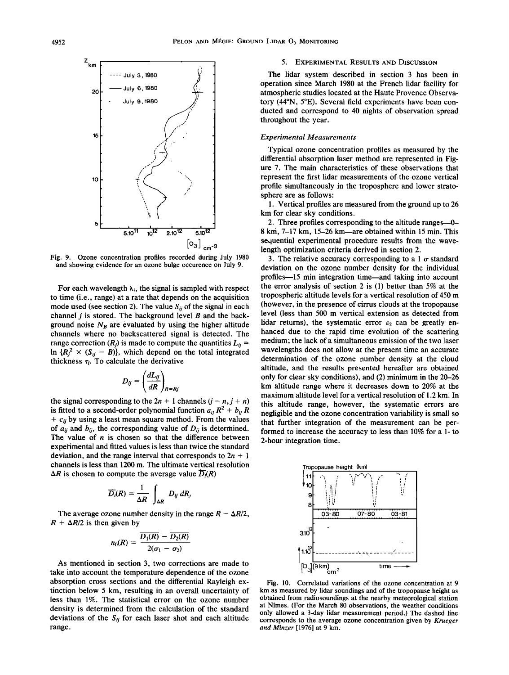

**Fig. 9. Ozone concentration profiles recorded during July 1980 and showing evidence for an ozone bulge occurence on July 9.** 

For each wavelength  $\lambda_i$ , the signal is sampled with respect **to time (i.e., range) at a rate that depends on the acquisition**  mode used (see section 2). The value  $S_{ij}$  of the signal in each **channel j is stored. The background level B and the back**ground noise  $N_B$  are evaluated by using the higher altitude **channels where no backscattered signal is detected. The**  range correction  $(R_j)$  is made to compute the quantities  $L_{ij}$  =  $\ln \{R_i^2 \times (S_{ij} - B)\}\$ , which depend on the total integrated thickness  $\tau_i$ . To calculate the derivative

$$
D_{ij} = \left(\frac{dL_{ij}}{dR}\right)_{R=R_j}
$$

the signal corresponding to the  $2n + 1$  channels  $(j - n, j + n)$ is fitted to a second-order polynomial function  $a_{ij}R^2 + b_{ij}R$  $+ c_{ij}$  by using a least mean square method. From the values of  $a_{ij}$  and  $b_{ij}$ , the corresponding value of  $D_{ij}$  is determined. **The value of n is chosen so that the difference between experimental and fitted values is less than twice the standard**  deviation, and the range interval that corresponds to  $2n + 1$ **channels is less than 1200 m. The ultimate vertical resolution**   $\Delta R$  is chosen to compute the average value  $\overline{D_i}(R)$ 

$$
\overline{D_i}(R) = \frac{1}{\Delta R} \int_{\Delta R} D_{ij} dR_j
$$

The average ozone number density in the range  $R - \Delta R/2$ ,  $R + \Delta R/2$  is then given by

$$
n_0(R) = \frac{\overline{D_1(R)} - \overline{D_2(R)}}{2(\sigma_1 - \sigma_2)}
$$

**As mentioned in section 3, two corrections are made to take into account the temperature dependence of the ozone absorption cross sections and the differential Rayleigh extinction below 5 km, resulting in an overall uncertainty of less than 1%. The statistical error on the ozone number density is determined from the calculation of the standard**  deviations of the  $S_{ii}$  for each laser shot and each altitude **range.** 

#### **5. EXPERIMENTAL RESULTS AND DISCUSSION**

**The lidar system described in section 3 has been in operation since March 1980 at the French lidar facility for atmospheric studies located at the Haute Provence Observatory (44øN, 5øE). Several field experiments have been conducted and correspond to 40 nights of observation spread throughout the year.** 

#### **Experimental Measurements**

**Typical ozone concentration profiles as measured by the differential absorption laser method are represented in Figure 7. The main characteristics of these observations that represent the first lidar measurements of the ozone vertical profile simultaneously in the troposphere and lower stratosphere are as follows:** 

**1. Vertical profiles are measured from the ground up to 26 km for clear sky conditions.** 

**2. Three profiles corresponding to the altitude ranges--O-8 km, 7-17 km, 15-26 km--are obtained within 15 min. This sequential experimental procedure results from the wavelength optimization criteria derived in section 2.** 

3. The relative accuracy corresponding to a 1  $\sigma$  standard **deviation on the ozone number density for the individual profiles—15 min integration time—and taking into account the error analysis of section 2 is (1) better than 5% at the tropospheric altitude levels for a vertical resolution of 450 m (however, in the presence of cirrus clouds at the tropopause level (less than 500 m vertical extension as detected from**  lidar returns), the systematic error  $\varepsilon_2$  can be greatly en**hanced due to the rapid time evolution of the scattering medium; the lack of a simultaneous emission of the two laser wavelengths does not allow at the present time an accurate determination of the ozone number density at the cloud altitude, and the results presented hereafter are obtained only for clear sky conditions), and (2) minimum in the 20-26 km altitude range where it decreases down to 20% at the maximum altitude level for a vertical resolution of 1.2 km. In this altitude range, however, the systematic errors are negligible and the ozone concentration variability is small so that further integration of the measurement can be performed to increase the accuracy to less than 10% for a 1- to 2-hour integration time.** 



**Fig. 10. Correlated variations of the ozone concentration at 9**  km as measured by lidar soundings and of the tropopause height as **obtained from radiosoundings at the nearby meteorological station at Nimes. (For the March 80 observations, the weather conditions only allowed a 3-day lidar measurement period.) The dashed line corresponds to the average ozone concentration given by Krueger and Minzer [1976] at 9 km.**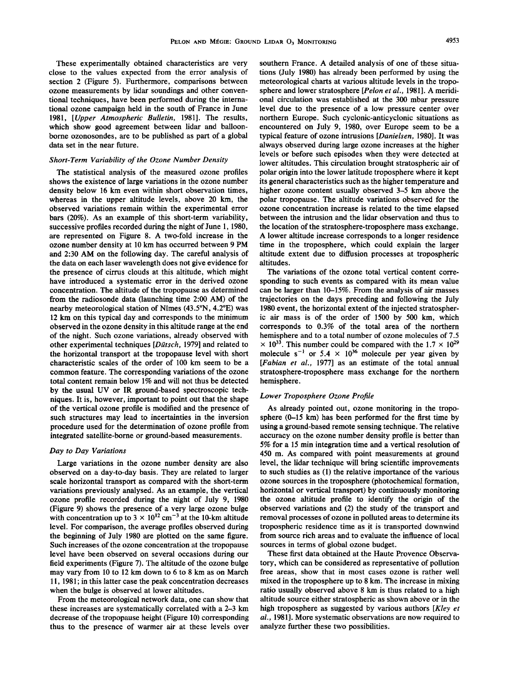**These experimentally obtained characteristics are very close to the values expected from the error analysis of section 2 (Figure 5). Furthermore, comparisons between ozone measurements by lidar soundings and other conventional techniques, have been performed during the international ozone campaign held in the south of France in June 1981, [Upper Atmospheric Bulletin, 1981]. The results, which show good agreement between lidar and balloonborne ozonosondes, are to be published as part of a global data set in the near future.** 

#### **Short-Term Variability of the Ozone Number Density**

**The statistical analysis of the measured ozone profiles shows the existence of large variations in the ozone number density below 16 km even within short observation times, whereas in the upper altitude levels, above 20 km, the observed variations remain within the experimental error bars (20%). As an example of this short-term variability, successive profiles recorded during the night of June 1, 1980, are represented on Figure 8. A two-fold increase in the ozone number density at 10 km has occurred between 9 PM and 2:30 AM on the following day. The careful analysis of the data on each laser wavelength does not give evidence for the presence of cirrus clouds at this altitude, which might have introduced a systematic error in the derived ozone concentration. The altitude of the tropopause as determined from the radiosonde data (launching time 2:00 AM) of the nearby meteorological station of Nimes (43.5øN, 4.2øE) was 12 km on this typical day and corresponds to the minimum observed in the ozone density in this altitude range at the end of the night. Such ozone variations, already observed with other experimental techniques [Diitsch, 1979] and related to the horizontal transport at the tropopause level with short characteristic scales of the order of 100 km seem to be a common feature. The corresponding variations of the ozone total content remain below 1% and will not thus be detected by the usual UV or IR ground-based spectroscopic techniques. It is, however, important to point out that the shape of the vertical ozone profile is modified and the presence of such structures may lead to incertainties in the inversion procedure used for the determination of ozone profile from integrated satellite-borne or ground-based measurements.** 

#### **Day to Day Variations**

**Large variations in the ozone number density are also observed on a day-to-day basis. They are related to larger scale horizontal transport as compared with the short-term variations previously analysed. As an example, the vertical ozone profile recorded during the night of July 9, 1980 (Figure 9) shows the presence of a very large ozone bulge**  with concentration up to  $3 \times 10^{12}$  cm<sup>-3</sup> at the 10-km altitude **level. For comparison, the average profiles observed during the beginning of July 1980 are plotted on the same figure. Such increases of the ozone concentration at the tropopause level have been observed on several occasions during our field experiments (Figure 7). The altitude of the ozone bulge may vary from 10 to 12 km down to 6 to 8 km as on March 11, 1981; in this latter case the peak concentration decreases when the bulge is observed at lower altitudes.** 

**From the meteorological network data, one can show that these increases are systematically correlated with a 2-3 km decrease of the tropopause height (Figure 10) corresponding thus to the presence of warmer air at these levels over** 

**southern France. A detailed analysis of one of these situations (July 1980) has already been performed by using the meteorological charts at various altitude levels in the troposphere and lower stratosphere [Pelon et al., 1981]. A meridional circulation was established at the 300 mbar pressure level due to the presence of a low pressure center over northern Europe. Such cyclonic-anticyclonic situations as encountered on July 9, 1980, over Europe seem to be a typical feature of ozone intrusions [Danielsen, 1980]. It was always observed during large ozone increases at the higher levels or before such episodes when they were detected at lower altitudes. This circulation brought stratospheric air of polar origin into the lower latitude troposphere where it kept its general characteristics such as the higher temperature and higher ozone content usually observed 3-5 km above the polar tropopause. The altitude variations observed for the ozone concentration increase is related to the time elapsed between the intrusion and the lidar observation and thus to the location of the stratosphere-troposphere mass exchange. A lower altitude increase corresponds to a longer residence time in the troposphere, which could explain the larger altitude extent due to diffusion processes at tropospheric altitudes.** 

**The variations of the ozone total vertical content corresponding to such events as compared with its mean value can be larger than 10-15%. From the analysis of air masses trajectories on the days preceding and following the July 1980 event, the horizontal extent of the injected stratospheric air mass is of the order of 1500 by 500 km, which corresponds to 0.3% of the total area of the northern hemisphere and to a total number of ozone molecules of 7.5**   $\times$  10<sup>33</sup>. This number could be compared with the 1.7  $\times$  10<sup>29</sup> molecule s<sup>-1</sup> or 5.4  $\times$  10<sup>36</sup> molecule per year given by **[Fabian et al., 1977] as an estimate of the total annual stratosphere-troposphere mass exchange for the northern hemisphere.** 

#### **Lower Troposphere Ozone Profile**

**As already pointed out, ozone monitoring in the troposphere (0-15 km) has been performed for the first time by using a ground-based remote sensing technique. The relative accuracy on the ozone number density profile is better than 5% for a 15 min integration time and a vertical resolution of 450 m. As compared with point measurements at ground level, the lidar technique will bring scientific improvements to such studies as (1) the relative importance of the various ozone sources in the troposphere (photochemical formation, horizontal or vertical transport) by continuously monitoring the ozone altitude profile to identify the origin of the observed variations and (2) the study of the transport and removal processes of ozone in polluted areas to determine its**  tropospheric residence time as it is transported downwind **from source rich areas and to evaluate the influence of local sources in terms of global ozone budget.** 

**These first data obtained at the Haute Provence Observatory, which can be considered as representative of pollution free areas, show that in most cases ozone is rather well mixed in the troposphere up to 8 km. The increase in mixing ratio usually observed above 8 km is thus related to a high altitude source either stratospheric as shown above or in the high troposphere as suggested by various authors [Kley et al., 1981]. More systematic observations are now required to analyze further these two possibilities.**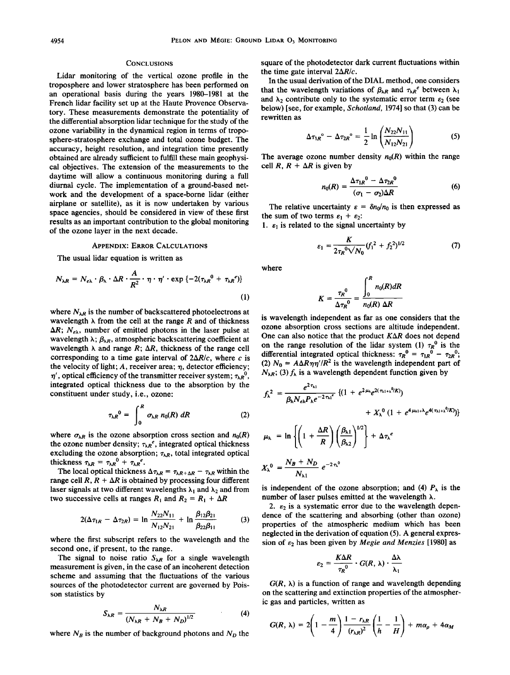#### **CONCLUSIONS**

**Lidar monitoring of the vertical ozone profile in the troposphere and lower stratosphere has been performed on an operational basis during the years 1980-1981 at the French lidar facility set up at the Haute Provence Observatory. These measurements demonstrate the potentiality of the differential absorption lidar technique for the study of the ozone variability in the dynamical region in terms of troposphere-stratosphere exchange and total ozone budget. The accuracy, height resolution, and integration time presently obtained are already suffcient to fulfill these main geophysical objectives. The extension of the measurements to the daytime will allow a continuous monitoring during a full diurnal cycle. The implementation of a ground-based network and the development of a space-borne lidar (either airplane or satellite), as it is now undertaken by various space agencies, should be considered in view of these first results as an important contribution to the global monitoring of the ozone layer in the next decade.** 

#### **APPENDIX: ERROR CALCULATIONS**

**The usual lidar equation is written as** 

$$
N_{\lambda R} = N_{e\lambda} \cdot \beta_{\lambda} \cdot \Delta R \cdot \frac{A}{R^2} \cdot \eta \cdot \eta' \cdot \exp \{-2(\tau_{\lambda R}^{0} + \tau_{\lambda R}^{e})\}
$$
\n(1)

where  $N_{\lambda R}$  is the number of backscattered photoelectrons at **wavelength**  $\lambda$  from the cell at the range  $R$  and of thickness  $\Delta R$ ;  $N_{e\lambda}$ , number of emitted photons in the laser pulse at wavelength  $\lambda$ ;  $\beta_{\lambda R}$ , atmospheric backscattering coefficient at wavelength  $\lambda$  and range  $R$ ;  $\Delta R$ , thickness of the range cell corresponding to a time gate interval of  $2\Delta R/c$ , where c is the velocity of light;  $A$ , receiver area;  $\eta$ , detector efficiency;  $\eta'$ , optical efficiency of the transmitter receiver system;  $\tau_{\lambda}R^0$ , **integrated optical thickness due to the absorption by the constituent under study, i.e., ozone:** 

$$
\tau_{\lambda R}{}^0 = \int_0^R \sigma_{\lambda R} n_0(R) \; dR \tag{2}
$$

where  $\sigma_{\lambda R}$  is the ozone absorption cross section and  $n_0(R)$ the ozone number density;  $\tau_{\lambda}$ <sup>e</sup>, integrated optical thickness excluding the ozone absorption;  $\tau_{\lambda R}$ , total integrated optical thickness  $\tau_{\lambda R} = \tau_{\lambda R}^{0} + \tau_{\lambda R}^{e}$ .

The local optical thickness  $\Delta \tau_{\lambda R} = \tau_{\lambda R} + \Delta R - \tau_{\lambda R}$  within the range cell  $R$ ,  $R + \Delta R$  is obtained by processing four different laser signals at two different wavelengths  $\lambda_1$  and  $\lambda_2$  and from two successive cells at ranges  $R_1$  and  $R_2 = R_1 + \Delta R$ 

$$
2(\Delta \tau_{1R} - \Delta \tau_{2R}) = \ln \frac{N_{22}N_{11}}{N_{12}N_{21}} + \ln \frac{\beta_{12}\beta_{21}}{\beta_{22}\beta_{11}} \tag{3}
$$

**where the first subscript refers to the wavelength and the second one, if present, to the range.** 

The signal to noise ratio  $S_{\lambda R}$  for a single wavelength **measurement is given, in the case of an incoherent detection scheme and assuming that the fluctuations of the various sources of the photodetector current are governed by Poisson statistics by** 

$$
S_{\lambda R} = \frac{N_{\lambda R}}{(N_{\lambda R} + N_B + N_D)^{1/2}} \tag{4}
$$

where  $N_B$  is the number of background photons and  $N_D$  the

**square of the photodetector dark current fluctuations within**  the time gate interval  $2\Delta R/c$ .

**In the usual derivation of the DIAL method, one considers**  that the wavelength variations of  $\beta_{\lambda R}$  and  $\tau_{\lambda R}^e$  between  $\lambda_1$ and  $\lambda_2$  contribute only to the systematic error term  $\varepsilon_2$  (see **below) [see, for example, Schotland, 1974] so that (3) can be rewritten as** 

$$
\Delta \tau_{1R}^{\circ} - \Delta \tau_{2R}^{\circ} = \frac{1}{2} \ln \left( \frac{N_{22} N_{11}}{N_{12} N_{21}} \right) \tag{5}
$$

The average ozone number density  $n_0(R)$  within the range cell  $R$ ,  $R + \Delta R$  is given by

$$
n_0(R) = \frac{\Delta \tau_{1R}^0 - \Delta \tau_{2R}^0}{(\sigma_1 - \sigma_2)\Delta R}
$$
 (6)

The relative uncertainty  $\varepsilon = \delta n_0/n_0$  is then expressed as the sum of two terms  $\varepsilon_1 + \varepsilon_2$ :

1.  $\varepsilon_1$  is related to the signal uncertainty by

$$
\varepsilon_1 = \frac{K}{2\tau_R^{0}\sqrt{N_0}} (f_1^{2} + f_2^{2})^{1/2}
$$
 (7)

**where** 

$$
K = \frac{\tau_R^0}{\Delta \tau_R^0} = \frac{\int_0^R n_0(R) dR}{n_0(R) \Delta R}
$$

**is wavelength independent as far as one considers that the ozone absorption cross sections are altitude independent. One can also notice that the product KAR does not depend**  on the range resolution of the lidar system (1)  $\tau_R^0$  is the **differential integrated optical thickness:**  $\tau_R^0 = \tau_{IR}^0 - \tau_{2R}^0$ ; (2)  $N_0 = A\Delta R\eta\eta'/R^2$  is the wavelength independent part of  $N_{\lambda R}$ ; (3)  $f_{\lambda}$  is a wavelength dependent function given by

$$
f_{\lambda}^{2} = \frac{e^{2\tau_{\lambda 1}}}{\beta_{\lambda}N_{e\lambda}P_{\lambda}e^{-2\tau_{\lambda 1}t}}\left\{(1+e^{2\mu_{\lambda}}e^{2(\tau_{\lambda 1}+\lambda^{0}/K)}) + X_{\lambda}^{0}(1+e^{4\mu_{\lambda 1}+\lambda}e^{4(\tau_{\lambda 1}+\lambda^{0}/K)})\right\}
$$

$$
\mu_{\lambda} = \ln \left\{ \left( 1 + \frac{\Delta R}{R} \right) \left( \frac{\beta_{\lambda 1}}{\beta_{\lambda 2}} \right)^{1/2} \right\} + \Delta \tau_{\lambda}^{e}
$$

$$
X_{\lambda}^{0} = \frac{N_B + N_D}{N_{\lambda 1}} e^{-2\tau_{\lambda}^{0}}
$$

is independent of the ozone absorption; and (4)  $P_{\lambda}$  is the **number of laser pulses emitted at the wavelength h.** 

2.  $\varepsilon_2$  is a systematic error due to the wavelength depen**dence of the scattering and absorbing (other than ozone) properties of the atmospheric medium which has been neglected in the derivation of equation (5). A general expres**sion of  $\varepsilon_2$  has been given by *Megie and Menzies* [1980] as

$$
\varepsilon_2 = \frac{K\Delta R}{\tau_R^0} \cdot G(R, \lambda) \cdot \frac{\Delta\lambda}{\lambda_1}
$$

 $G(R, \lambda)$  is a function of range and wavelength depending on the scattering and extinction properties of the atmospher**ic gas and particles, written as** 

$$
G(R, \lambda) = 2\left(1-\frac{m}{4}\right)\frac{1-r_{\lambda R}}{(r_{\lambda R})^2}\left(\frac{1}{h}-\frac{1}{H}\right)+m\alpha_p+4\alpha_M
$$